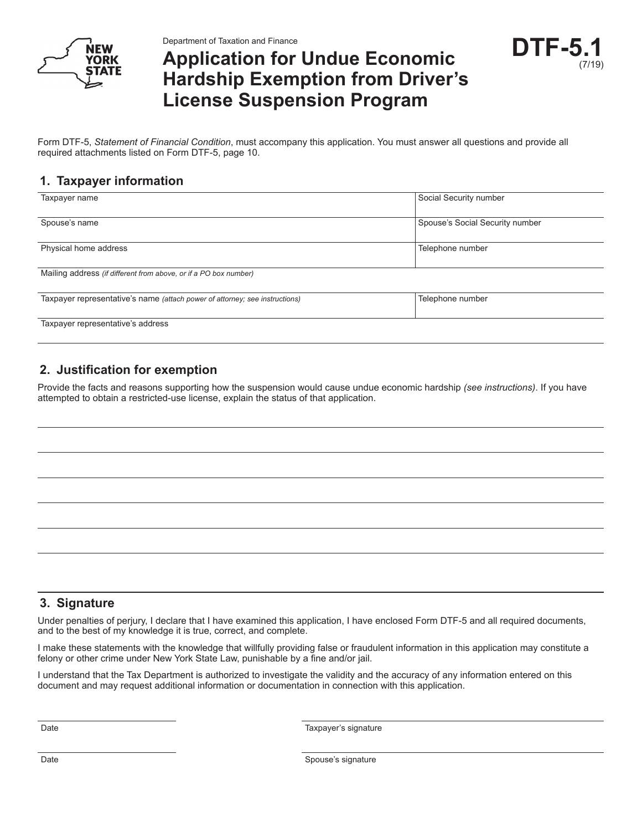

Department of Taxation and Finance

# **Application for Undue Economic Hardship Exemption from Driver's License Suspension Program**



Form DTF-5, *Statement of Financial Condition*, must accompany this application. You must answer all questions and provide all required attachments listed on Form DTF-5, page 10.

## **1. Taxpayer information**

| Taxpayer name                                                               | Social Security number          |
|-----------------------------------------------------------------------------|---------------------------------|
|                                                                             |                                 |
| Spouse's name                                                               | Spouse's Social Security number |
|                                                                             |                                 |
| Physical home address                                                       | Telephone number                |
|                                                                             |                                 |
| Mailing address (if different from above, or if a PO box number)            |                                 |
|                                                                             |                                 |
| Taxpayer representative's name (attach power of attorney; see instructions) | Telephone number                |
|                                                                             |                                 |
| Taxpayer representative's address                                           |                                 |

# **2. Justification for exemption**

Provide the facts and reasons supporting how the suspension would cause undue economic hardship *(see instructions)*. If you have attempted to obtain a restricted-use license, explain the status of that application.

#### **3. Signature**

Under penalties of perjury, I declare that I have examined this application, I have enclosed Form DTF-5 and all required documents, and to the best of my knowledge it is true, correct, and complete.

I make these statements with the knowledge that willfully providing false or fraudulent information in this application may constitute a felony or other crime under New York State Law, punishable by a fine and/or jail.

I understand that the Tax Department is authorized to investigate the validity and the accuracy of any information entered on this document and may request additional information or documentation in connection with this application.

Date **Taxpayer's signature**  $\qquad \qquad$  Taxpayer's signature

Date Spouse's signature  $\Box$